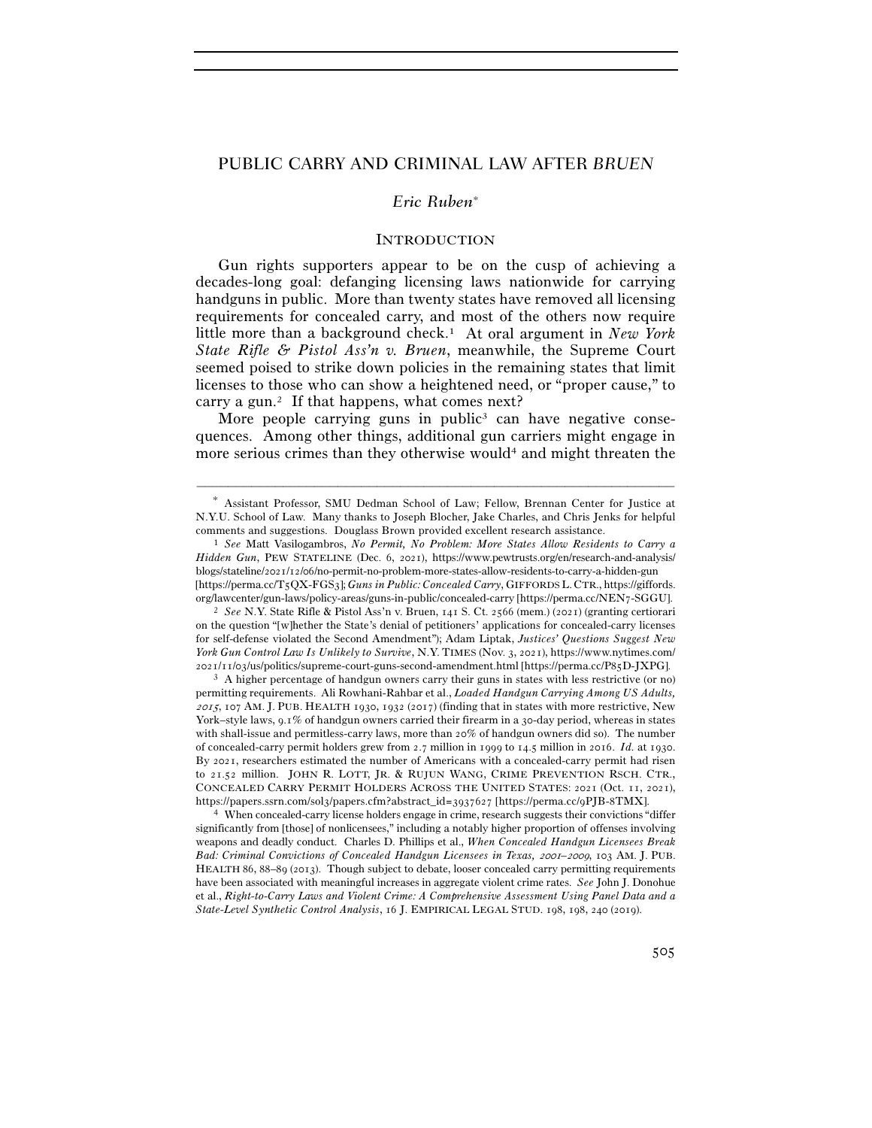# PUBLIC CARRY AND CRIMINAL LAW AFTER *BRUEN*

## *Eric Ruben*<sup>∗</sup>

#### **INTRODUCTION**

Gun rights supporters appear to be on the cusp of achieving a decades-long goal: defanging licensing laws nationwide for carrying handguns in public. More than twenty states have removed all licensing requirements for concealed carry, and most of the others now require little more than a background check.1 At oral argument in *New York State Rifle & Pistol Ass'n v. Bruen*, meanwhile, the Supreme Court seemed poised to strike down policies in the remaining states that limit licenses to those who can show a heightened need, or "proper cause," to carry a gun.<sup>2</sup> If that happens, what comes next?

More people carrying guns in public<sup>3</sup> can have negative consequences. Among other things, additional gun carriers might engage in more serious crimes than they otherwise would<sup>4</sup> and might threaten the

permitting requirements. Ali Rowhani-Rahbar et al., *Loaded Handgun Carrying Among US Adults,*  2015, 107 AM. J. PUB. HEALTH 1930, 1932 (2017) (finding that in states with more restrictive, New York–style laws, 9.1% of handgun owners carried their firearm in a 30-day period, whereas in states with shall-issue and permitless-carry laws, more than 20% of handgun owners did so). The number of concealed-carry permit holders grew from 2.7 million in 1999 to 14.5 million in 2016. *Id.* at 1930. By 2021, researchers estimated the number of Americans with a concealed-carry permit had risen to 21.52 million. JOHN R. LOTT, JR. & RUJUN WANG, CRIME PREVENTION RSCH. CTR., CONCEALED CARRY PERMIT HOLDERS ACROSS THE UNITED STATES: 2021 (Oct. 11, 2021), https://papers.ssrn.com/sol3/papers.cfm?abstract\_id=3937627 [https://perma.cc/9PJB-<sup>8</sup>TMX]. 4 When concealed-carry license holders engage in crime, research suggests their convictions "differ

significantly from [those] of nonlicensees," including a notably higher proportion of offenses involving weapons and deadly conduct. Charles D. Phillips et al., *When Concealed Handgun Licensees Break*  Bad: Criminal Convictions of Concealed Handgun Licensees in Texas, 2001-2009, 103 AM. J. PUB. HEALTH 86, 88–89 (2013). Though subject to debate, looser concealed carry permitting requirements have been associated with meaningful increases in aggregate violent crime rates. *See* John J. Donohue et al., *Right-to-Carry Laws and Violent Crime: A Comprehensive Assessment Using Panel Data and a State-Level Synthetic Control Analysis*, 16 J. EMPIRICAL LEGAL STUD. 198, 198, 240 (2019).

<sup>–––––––––––––––––––––––––––––––––––––––––––––––––––––––––––––</sup> <sup>∗</sup> Assistant Professor, SMU Dedman School of Law; Fellow, Brennan Center for Justice at N.Y.U. School of Law. Many thanks to Joseph Blocher, Jake Charles, and Chris Jenks for helpful comments and suggestions. Douglass Brown provided excellent research assistance. 1 *See* Matt Vasilogambros, *No Permit, No Problem: More States Allow Residents to Carry a* 

*Hidden Gun*, PEW STATELINE (Dec. 6, 2021), https://www.pewtrusts.org/en/research-and-analysis/ blogs/stateline/2021/12/06/no-permit-no-problem-more-states-allow-residents-to-carry-a-hidden-gun [https://perma.cc/T5QX-FGS3]; *Guns in Public: Concealed Carry*, GIFFORDSL. CTR., https://giffords. org/lawcenter/gun-laws/policy-areas/guns-in-public/concealed-carry [https://perma.cc/NEN7-SGGU].

<sup>2</sup> *See* N.Y. State Rifle & Pistol Ass'n v. Bruen, 141 S. Ct. 2566 (mem.) (2021) (granting certiorari on the question "[w]hether the State's denial of petitioners' applications for concealed-carry licenses for self-defense violated the Second Amendment"); Adam Liptak, *Justices' Questions Suggest New York Gun Control Law Is Unlikely to Survive*, N.Y. TIMES (Nov. 3, 2021), https://www.nytimes.com/  $2021/11/03/us/politics/supreme-count-guns-second-amendment.html [https://perm.acc/PsjD-JXPG].$ <br><sup>3</sup> A higher percentage of handgun owners carry their guns in states with less restrictive (or no)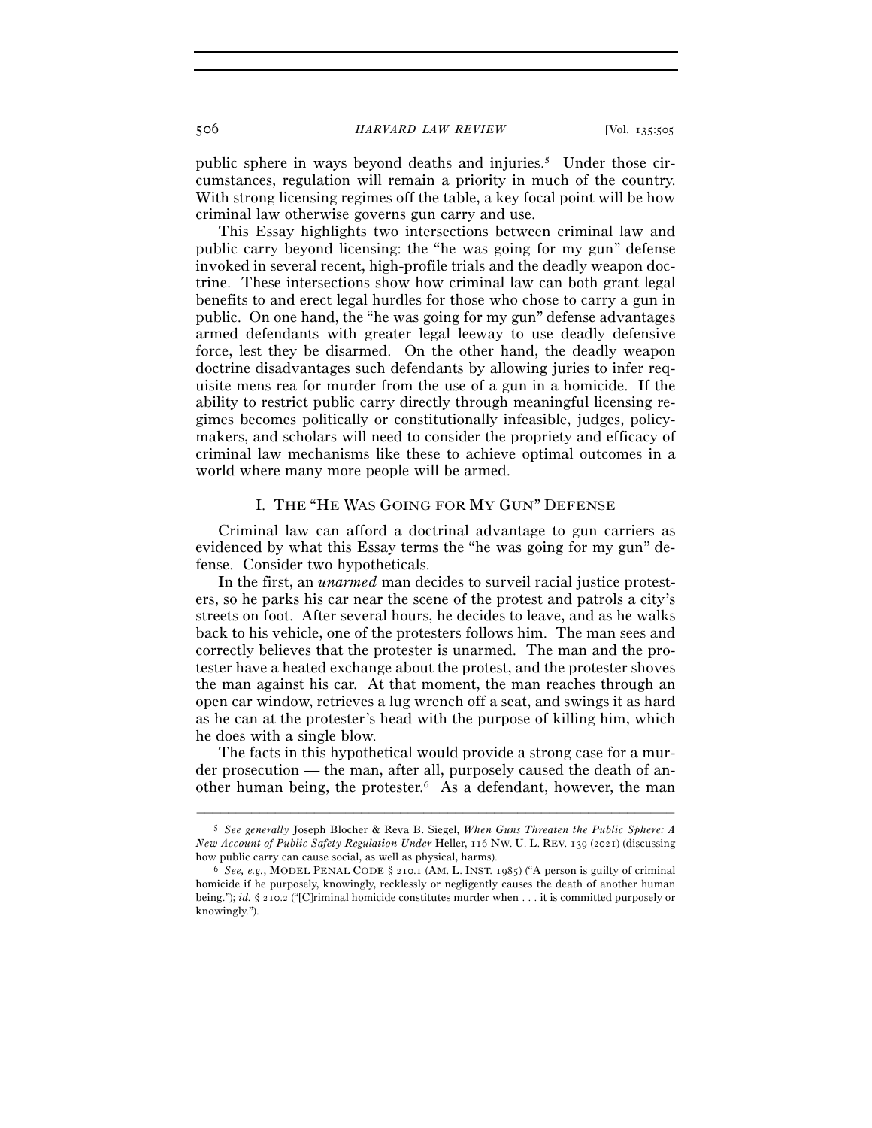506 *HARVARD LAW REVIEW* [Vol. 135:<sup>505</sup>

public sphere in ways beyond deaths and injuries.5 Under those circumstances, regulation will remain a priority in much of the country. With strong licensing regimes off the table, a key focal point will be how criminal law otherwise governs gun carry and use.

This Essay highlights two intersections between criminal law and public carry beyond licensing: the "he was going for my gun" defense invoked in several recent, high-profile trials and the deadly weapon doctrine. These intersections show how criminal law can both grant legal benefits to and erect legal hurdles for those who chose to carry a gun in public. On one hand, the "he was going for my gun" defense advantages armed defendants with greater legal leeway to use deadly defensive force, lest they be disarmed. On the other hand, the deadly weapon doctrine disadvantages such defendants by allowing juries to infer requisite mens rea for murder from the use of a gun in a homicide. If the ability to restrict public carry directly through meaningful licensing regimes becomes politically or constitutionally infeasible, judges, policymakers, and scholars will need to consider the propriety and efficacy of criminal law mechanisms like these to achieve optimal outcomes in a world where many more people will be armed.

## I. THE "HE WAS GOING FOR MY GUN" DEFENSE

Criminal law can afford a doctrinal advantage to gun carriers as evidenced by what this Essay terms the "he was going for my gun" defense. Consider two hypotheticals.

In the first, an *unarmed* man decides to surveil racial justice protesters, so he parks his car near the scene of the protest and patrols a city's streets on foot. After several hours, he decides to leave, and as he walks back to his vehicle, one of the protesters follows him. The man sees and correctly believes that the protester is unarmed. The man and the protester have a heated exchange about the protest, and the protester shoves the man against his car. At that moment, the man reaches through an open car window, retrieves a lug wrench off a seat, and swings it as hard as he can at the protester's head with the purpose of killing him, which he does with a single blow.

The facts in this hypothetical would provide a strong case for a murder prosecution — the man, after all, purposely caused the death of another human being, the protester.6 As a defendant, however, the man

<sup>5</sup> *See generally* Joseph Blocher & Reva B. Siegel, *When Guns Threaten the Public Sphere: A New Account of Public Safety Regulation Under* Heller, 116 NW. U. L. REV. 139 (2021) (discussing how public carry can cause social, as well as physical, harms). 6 *See, e.g.*, MODEL PENAL CODE § <sup>210</sup>.1 (AM. L. INST. 1985) ("A person is guilty of criminal

homicide if he purposely, knowingly, recklessly or negligently causes the death of another human being."); *id.* § 210.2 ("[C]riminal homicide constitutes murder when . . . it is committed purposely or knowingly.").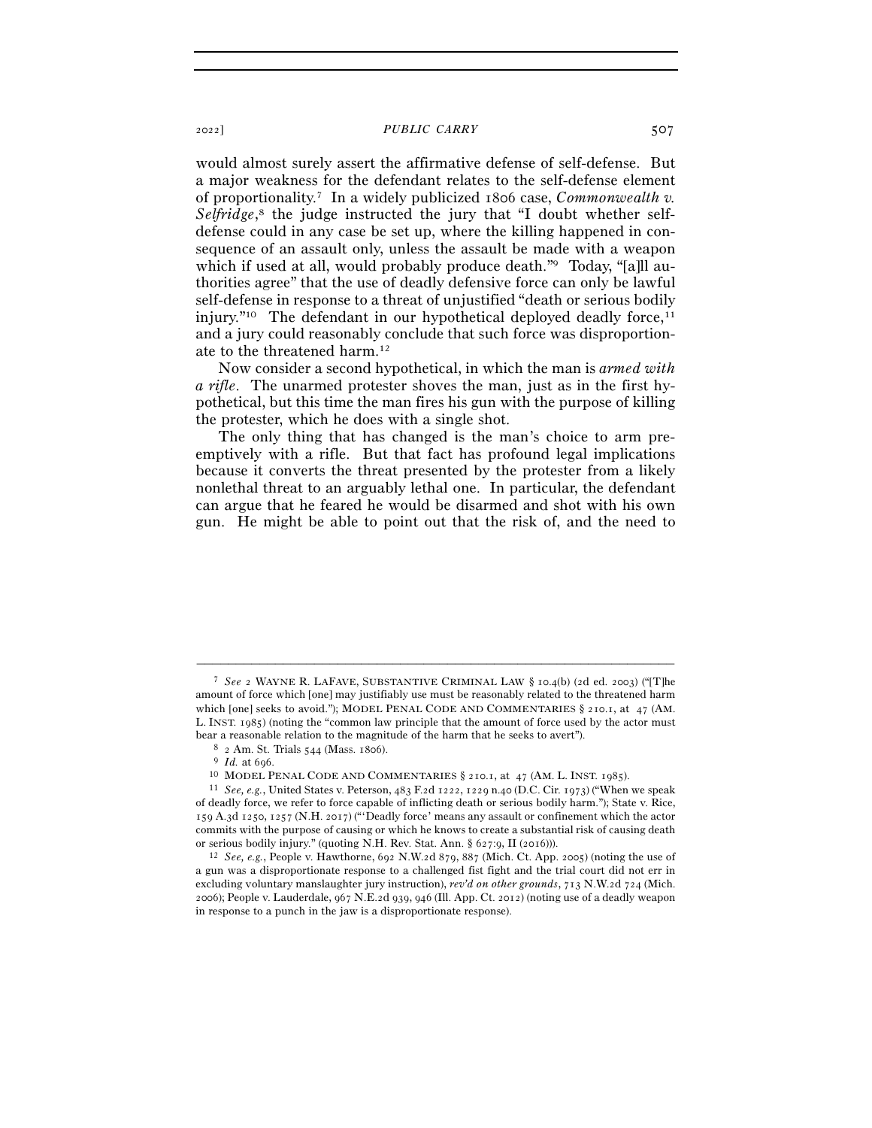#### <sup>2022</sup>] *PUBLIC CARRY* 507

would almost surely assert the affirmative defense of self-defense. But a major weakness for the defendant relates to the self-defense element of proportionality.7 In a widely publicized 1806 case, *Commonwealth v.*  Selfridge,<sup>8</sup> the judge instructed the jury that "I doubt whether selfdefense could in any case be set up, where the killing happened in consequence of an assault only, unless the assault be made with a weapon which if used at all, would probably produce death."<sup>9</sup> Today, "[a]ll authorities agree" that the use of deadly defensive force can only be lawful self-defense in response to a threat of unjustified "death or serious bodily injury."<sup>10</sup> The defendant in our hypothetical deployed deadly force,<sup>11</sup> and a jury could reasonably conclude that such force was disproportionate to the threatened harm.12

Now consider a second hypothetical, in which the man is *armed with a rifle*. The unarmed protester shoves the man, just as in the first hypothetical, but this time the man fires his gun with the purpose of killing the protester, which he does with a single shot.

The only thing that has changed is the man's choice to arm preemptively with a rifle. But that fact has profound legal implications because it converts the threat presented by the protester from a likely nonlethal threat to an arguably lethal one. In particular, the defendant can argue that he feared he would be disarmed and shot with his own gun. He might be able to point out that the risk of, and the need to

<sup>7</sup> *See* 2 WAYNE R. LAFAVE, SUBSTANTIVE CRIMINAL LAW § 10.4(b) (2d ed. 2003) ("[T]he amount of force which [one] may justifiably use must be reasonably related to the threatened harm which [one] seeks to avoid."); MODEL PENAL CODE AND COMMENTARIES § 210.1, at 47 (AM. L. INST. 1985) (noting the "common law principle that the amount of force used by the actor must bear a reasonable relation to the magnitude of the harm that he seeks to avert").<br>
<sup>8</sup> 2 Am. St. Trials 544 (Mass. 1806).<br>
<sup>9</sup> *Id.* at 696.<br>
<sup>10</sup> MODEL PENAL CODE AND COMMENTARIES § 210.1, at 47 (AM. L. INST. 1985).<br>
<sup>11</sup>

of deadly force, we refer to force capable of inflicting death or serious bodily harm."); State v. Rice, 159 A.3d 1250, 1257 (N.H. 2017) ("'Deadly force' means any assault or confinement which the actor commits with the purpose of causing or which he knows to create a substantial risk of causing death or serious bodily injury." (quoting N.H. Rev. Stat. Ann. § 627:9, II (<sup>2016</sup>))). 12 *See, e.g.*, People v. Hawthorne, 692 N.W.2d 879, 887 (Mich. Ct. App. 2005) (noting the use of

a gun was a disproportionate response to a challenged fist fight and the trial court did not err in excluding voluntary manslaughter jury instruction), *rev'd on other grounds*, 713 N.W.2d 724 (Mich. 2006); People v. Lauderdale, 967 N.E.2d 939, 946 (Ill. App. Ct. 2012) (noting use of a deadly weapon in response to a punch in the jaw is a disproportionate response).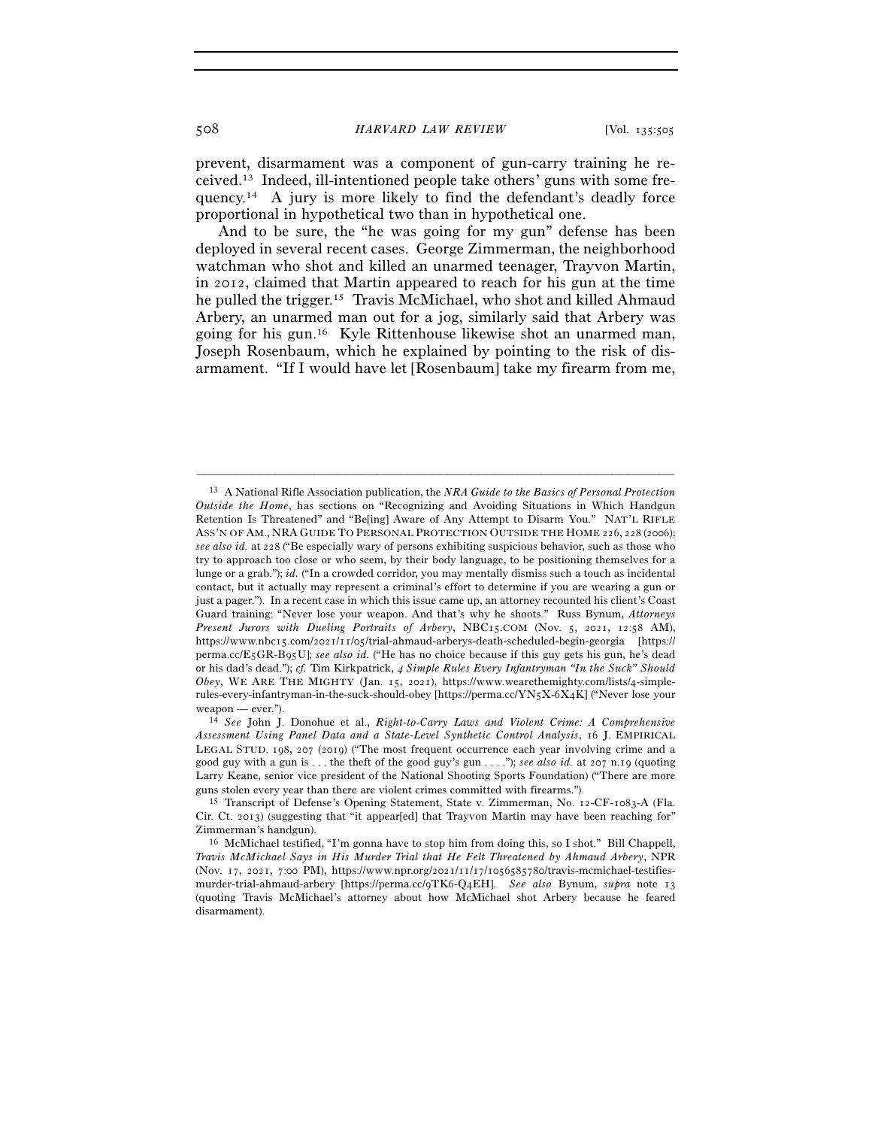prevent, disarmament was a component of gun-carry training he received.13 Indeed, ill-intentioned people take others' guns with some frequency.14 A jury is more likely to find the defendant's deadly force proportional in hypothetical two than in hypothetical one.

And to be sure, the "he was going for my gun" defense has been deployed in several recent cases. George Zimmerman, the neighborhood watchman who shot and killed an unarmed teenager, Trayvon Martin, in 2012, claimed that Martin appeared to reach for his gun at the time he pulled the trigger.15 Travis McMichael, who shot and killed Ahmaud Arbery, an unarmed man out for a jog, similarly said that Arbery was going for his gun.16 Kyle Rittenhouse likewise shot an unarmed man, Joseph Rosenbaum, which he explained by pointing to the risk of disarmament. "If I would have let [Rosenbaum] take my firearm from me,

<sup>13</sup> A National Rifle Association publication, the *NRA Guide to the Basics of Personal Protection Outside the Home*, has sections on "Recognizing and Avoiding Situations in Which Handgun Retention Is Threatened" and "Be[ing] Aware of Any Attempt to Disarm You." NAT'L RIFLE ASS'N OF AM., NRA GUIDE TO PERSONAL PROTECTION OUTSIDE THE HOME 226, 228 (2006); *see also id.* at 228 ("Be especially wary of persons exhibiting suspicious behavior, such as those who try to approach too close or who seem, by their body language, to be positioning themselves for a lunge or a grab."); *id.* ("In a crowded corridor, you may mentally dismiss such a touch as incidental contact, but it actually may represent a criminal's effort to determine if you are wearing a gun or just a pager."). In a recent case in which this issue came up, an attorney recounted his client's Coast Guard training: "Never lose your weapon. And that's why he shoots." Russ Bynum, *Attorneys Present Jurors with Dueling Portraits of Arbery*, NBC15.COM (Nov. 5, 2021, 12:58 AM), https://www.nbc15.com/2021/11/05/trial-ahmaud-arberys-death-scheduled-begin-georgia [https:// perma.cc/E5GR-B95U]; *see also id.* ("He has no choice because if this guy gets his gun, he's dead or his dad's dead."); *cf.* Tim Kirkpatrick, 4 *Simple Rules Every Infantryman "In the Suck" Should Obey*, WE ARE THE MIGHTY (Jan. 15, 2021), https://www.wearethemighty.com/lists/4-simplerules-every-infantryman-in-the-suck-should-obey [https://perma.cc/YN5X-6X4K] ("Never lose your

weapon — ever.").<br><sup>14</sup> *See* John J. Donohue et al., *Right-to-Carry Laws and Violent Crime: A Comprehensive Assessment Using Panel Data and a State-Level Synthetic Control Analysis*, 16 J. EMPIRICAL LEGAL STUD. 198, 207 (2019) ("The most frequent occurrence each year involving crime and a good guy with a gun is . . . the theft of the good guy's gun . . . ."); *see also id.* at 207 n.19 (quoting Larry Keane, senior vice president of the National Shooting Sports Foundation) ("There are more guns stolen every year than there are violent crimes committed with firearms."). 15 Transcript of Defense's Opening Statement, State v. Zimmerman, No. 12-CF-1083-A (Fla.

Cir. Ct. 2013) (suggesting that "it appear[ed] that Trayvon Martin may have been reaching for" Zimmerman's handgun). 16 McMichael testified, "I'm gonna have to stop him from doing this, so I shot." Bill Chappell,

*Travis McMichael Says in His Murder Trial that He Felt Threatened by Ahmaud Arbery*, NPR (Nov. 17, 2021, 7:00 PM), https://www.npr.org/2021/11/17/1056585780/travis-mcmichael-testifiesmurder-trial-ahmaud-arbery [https://perma.cc/9TK6-Q4EH]. *See also* Bynum, *supra* note 13 (quoting Travis McMichael's attorney about how McMichael shot Arbery because he feared disarmament).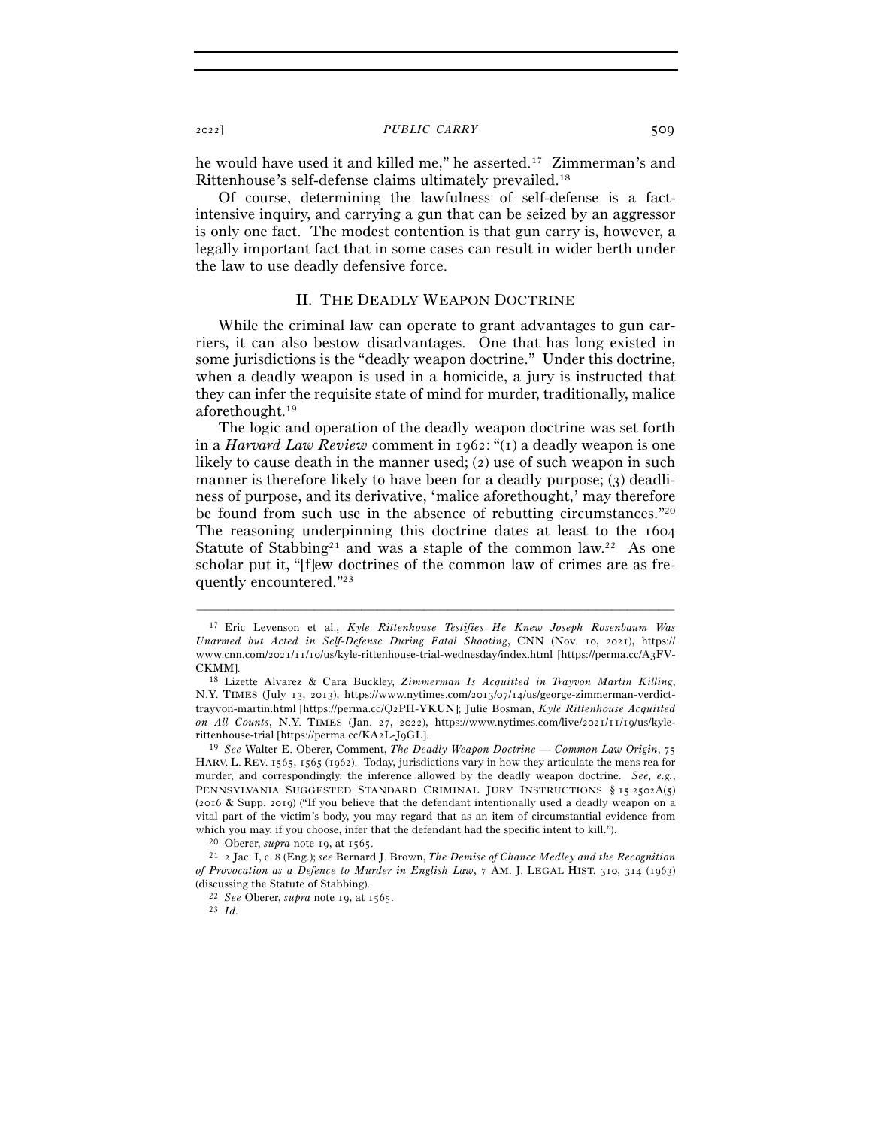#### <sup>2022</sup>] *PUBLIC CARRY* 509

he would have used it and killed me," he asserted.<sup>17</sup> Zimmerman's and Rittenhouse's self-defense claims ultimately prevailed.18

Of course, determining the lawfulness of self-defense is a factintensive inquiry, and carrying a gun that can be seized by an aggressor is only one fact. The modest contention is that gun carry is, however, a legally important fact that in some cases can result in wider berth under the law to use deadly defensive force.

## II. THE DEADLY WEAPON DOCTRINE

While the criminal law can operate to grant advantages to gun carriers, it can also bestow disadvantages. One that has long existed in some jurisdictions is the "deadly weapon doctrine." Under this doctrine, when a deadly weapon is used in a homicide, a jury is instructed that they can infer the requisite state of mind for murder, traditionally, malice aforethought.19

The logic and operation of the deadly weapon doctrine was set forth in a *Harvard Law Review* comment in 1962: "(1) a deadly weapon is one likely to cause death in the manner used; (2) use of such weapon in such manner is therefore likely to have been for a deadly purpose; (3) deadliness of purpose, and its derivative, 'malice aforethought,' may therefore be found from such use in the absence of rebutting circumstances."20 The reasoning underpinning this doctrine dates at least to the 1604 Statute of Stabbing<sup>21</sup> and was a staple of the common law.<sup>22</sup> As one scholar put it, "[f]ew doctrines of the common law of crimes are as frequently encountered."23

<sup>17</sup> Eric Levenson et al., *Kyle Rittenhouse Testifies He Knew Joseph Rosenbaum Was Unarmed but Acted in Self-Defense During Fatal Shooting*, CNN (Nov. 10, 2021), https:// www.cnn.com/2021/11/10/us/kyle-rittenhouse-trial-wednesday/index.html [https://perma.cc/A3FV-CKMM]. 18 Lizette Alvarez & Cara Buckley, *Zimmerman Is Acquitted in Trayvon Martin Killing*,

N.Y. TIMES (July 13, 2013), https://www.nytimes.com/2013/07/14/us/george-zimmerman-verdicttrayvon-martin.html [https://perma.cc/Q2PH-YKUN]; Julie Bosman, *Kyle Rittenhouse Acquitted on All Counts*, N.Y. TIMES (Jan. 27, 2022), https://www.nytimes.com/live/2021/11/19/us/kylerittenhouse-trial [https://perma.cc/KA2L-J<sup>9</sup>GL]. 19 *See* Walter E. Oberer, Comment, *The Deadly Weapon Doctrine — Common Law Origin*, <sup>75</sup>

HARV. L. REV. 1565, 1565 (1962). Today, jurisdictions vary in how they articulate the mens rea for murder, and correspondingly, the inference allowed by the deadly weapon doctrine. *See, e.g.*, PENNSYLVANIA SUGGESTED STANDARD CRIMINAL JURY INSTRUCTIONS § 15.2502A(5) (2016 & Supp. 2019) ("If you believe that the defendant intentionally used a deadly weapon on a vital part of the victim's body, you may regard that as an item of circumstantial evidence from which you may, if you choose, infer that the defendant had the specific intent to kill."). <sup>20</sup> Oberer, *supra* note 19, at 1565.

<sup>21</sup> 2 Jac. I, c. 8 (Eng.); *see* Bernard J. Brown, *The Demise of Chance Medley and the Recognition of Provocation as a Defence to Murder in English Law*, 7 AM. J. LEGAL HIST. 310, 314 (1963) (discussing the Statute of Stabbing). 22 *See* Oberer, *supra* note 19, at 1565.

<sup>23</sup> *Id.*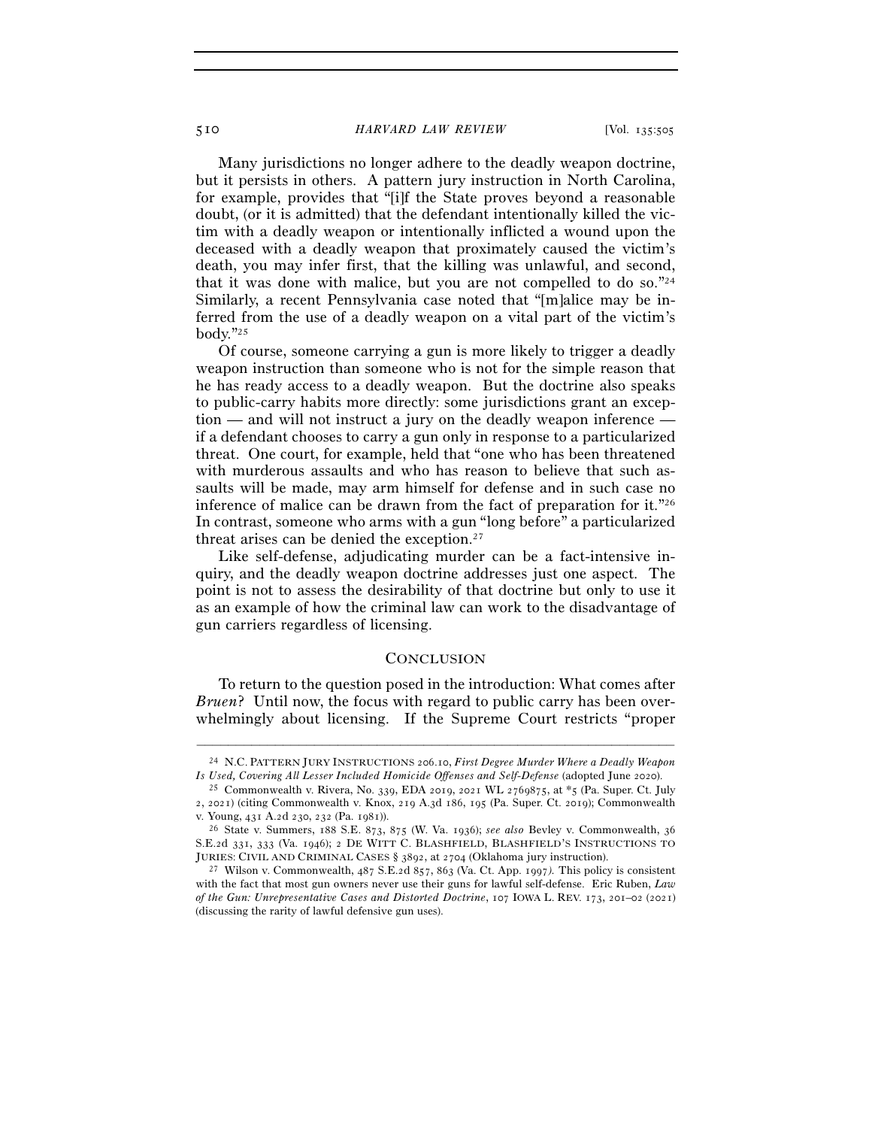510 *HARVARD LAW REVIEW* [Vol. 135:<sup>505</sup>

Many jurisdictions no longer adhere to the deadly weapon doctrine, but it persists in others. A pattern jury instruction in North Carolina, for example, provides that "[i]f the State proves beyond a reasonable doubt, (or it is admitted) that the defendant intentionally killed the victim with a deadly weapon or intentionally inflicted a wound upon the deceased with a deadly weapon that proximately caused the victim's death, you may infer first, that the killing was unlawful, and second, that it was done with malice, but you are not compelled to do so."24 Similarly, a recent Pennsylvania case noted that "[m]alice may be inferred from the use of a deadly weapon on a vital part of the victim's body."25

Of course, someone carrying a gun is more likely to trigger a deadly weapon instruction than someone who is not for the simple reason that he has ready access to a deadly weapon. But the doctrine also speaks to public-carry habits more directly: some jurisdictions grant an exception — and will not instruct a jury on the deadly weapon inference if a defendant chooses to carry a gun only in response to a particularized threat. One court, for example, held that "one who has been threatened with murderous assaults and who has reason to believe that such assaults will be made, may arm himself for defense and in such case no inference of malice can be drawn from the fact of preparation for it."26 In contrast, someone who arms with a gun "long before" a particularized threat arises can be denied the exception.27

Like self-defense, adjudicating murder can be a fact-intensive inquiry, and the deadly weapon doctrine addresses just one aspect. The point is not to assess the desirability of that doctrine but only to use it as an example of how the criminal law can work to the disadvantage of gun carriers regardless of licensing.

## **CONCLUSION**

To return to the question posed in the introduction: What comes after *Bruen*? Until now, the focus with regard to public carry has been overwhelmingly about licensing. If the Supreme Court restricts "proper

<sup>–––––––––––––––––––––––––––––––––––––––––––––––––––––––––––––</sup> <sup>24</sup> N.C. PATTERN JURY INSTRUCTIONS 206.10, *First Degree Murder Where a Deadly Weapon Is Used, Covering All Lesser Included Homicide Offenses and Self-Defense* (adopted June <sup>2020</sup>). 25 Commonwealth v. Rivera, No. 339, EDA 2019, 2021 WL 2769875, at \*5 (Pa. Super. Ct. July

<sup>2</sup>, 2021) (citing Commonwealth v. Knox, 219 A.3d 186, 195 (Pa. Super. Ct. 2019); Commonwealth

v. Young, 431 A.2d 230, 232 (Pa. <sup>1981</sup>)). 26 State v. Summers, 188 S.E. 873, 875 (W. Va. 1936); *see also* Bevley v. Commonwealth, <sup>36</sup> S.E.2d 331, 333 (Va. 1946); 2 DE WITT C. BLASHFIELD, BLASHFIELD'S INSTRUCTIONS TO

JURIES: CIVIL AND CRIMINAL CASES § <sup>3892</sup>, at 2704 (Oklahoma jury instruction). 27 Wilson v. Commonwealth, 487 S.E.2d 857, 863 (Va. Ct. App. 1997*).* This policy is consistent with the fact that most gun owners never use their guns for lawful self-defense. Eric Ruben, *Law of the Gun: Unrepresentative Cases and Distorted Doctrine*, 107 IOWA L. REV. 173, 201–02 (2021) (discussing the rarity of lawful defensive gun uses).